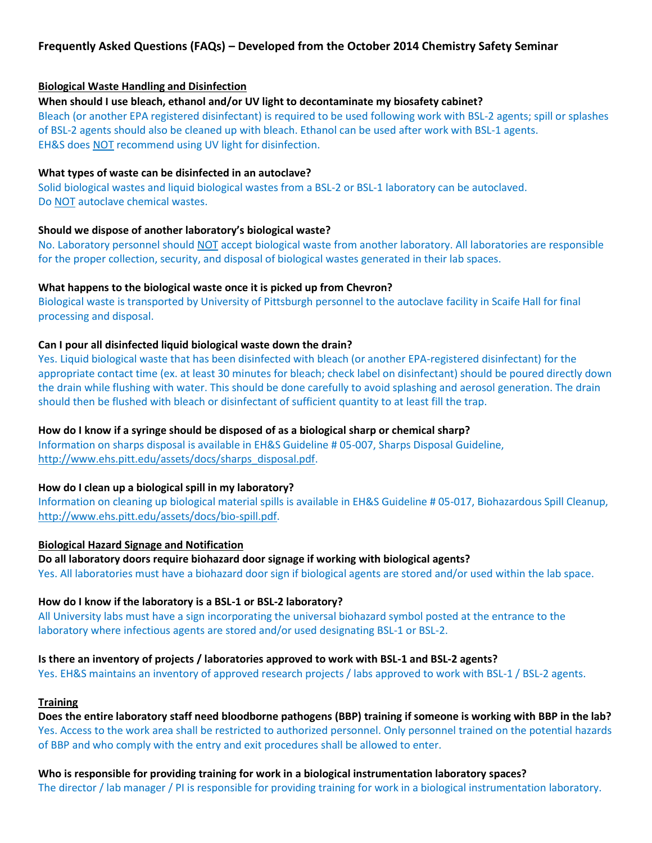# **Frequently Asked Questions (FAQs) – Developed from the October 2014 Chemistry Safety Seminar**

# **Biological Waste Handling and Disinfection**

### **When should I use bleach, ethanol and/or UV light to decontaminate my biosafety cabinet?**

Bleach (or another EPA registered disinfectant) is required to be used following work with BSL-2 agents; spill or splashes of BSL-2 agents should also be cleaned up with bleach. Ethanol can be used after work with BSL-1 agents. EH&S does NOT recommend using UV light for disinfection.

#### **What types of waste can be disinfected in an autoclave?**

Solid biological wastes and liquid biological wastes from a BSL-2 or BSL-1 laboratory can be autoclaved. Do NOT autoclave chemical wastes.

#### **Should we dispose of another laboratory's biological waste?**

No. Laboratory personnel should NOT accept biological waste from another laboratory. All laboratories are responsible for the proper collection, security, and disposal of biological wastes generated in their lab spaces.

### **What happens to the biological waste once it is picked up from Chevron?**

Biological waste is transported by University of Pittsburgh personnel to the autoclave facility in Scaife Hall for final processing and disposal.

# **Can I pour all disinfected liquid biological waste down the drain?**

Yes. Liquid biological waste that has been disinfected with bleach (or another EPA-registered disinfectant) for the appropriate contact time (ex. at least 30 minutes for bleach; check label on disinfectant) should be poured directly down the drain while flushing with water. This should be done carefully to avoid splashing and aerosol generation. The drain should then be flushed with bleach or disinfectant of sufficient quantity to at least fill the trap.

### **How do I know if a syringe should be disposed of as a biological sharp or chemical sharp?**

Information on sharps disposal is available in EH&S Guideline # 05-007, Sharps Disposal Guideline, [http://www.ehs.pitt.edu/assets/docs/sharps\\_disposal.pdf.](http://www.ehs.pitt.edu/assets/docs/sharps_disposal.pdf)

### **How do I clean up a biological spill in my laboratory?**

Information on cleaning up biological material spills is available in EH&S Guideline # 05-017, Biohazardous Spill Cleanup, [http://www.ehs.pitt.edu/assets/docs/bio-spill.pdf.](http://www.ehs.pitt.edu/assets/docs/bio-spill.pdf)

### **Biological Hazard Signage and Notification**

**Do all laboratory doors require biohazard door signage if working with biological agents?**  Yes. All laboratories must have a biohazard door sign if biological agents are stored and/or used within the lab space.

### **How do I know if the laboratory is a BSL-1 or BSL-2 laboratory?**

All University labs must have a sign incorporating the universal biohazard symbol posted at the entrance to the laboratory where infectious agents are stored and/or used designating BSL-1 or BSL-2.

### **Is there an inventory of projects / laboratories approved to work with BSL-1 and BSL-2 agents?**

Yes. EH&S maintains an inventory of approved research projects / labs approved to work with BSL-1 / BSL-2 agents.

# **Training**

**Does the entire laboratory staff need bloodborne pathogens (BBP) training if someone is working with BBP in the lab?**  Yes. Access to the work area shall be restricted to authorized personnel. Only personnel trained on the potential hazards of BBP and who comply with the entry and exit procedures shall be allowed to enter.

**Who is responsible for providing training for work in a biological instrumentation laboratory spaces?**  The director / lab manager / PI is responsible for providing training for work in a biological instrumentation laboratory.